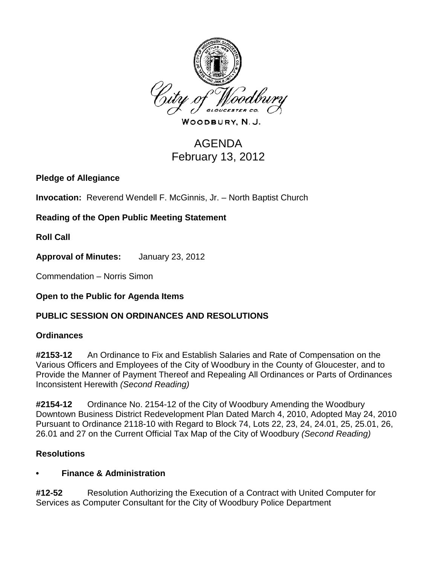

WOODBURY, N.J.

# AGENDA February 13, 2012

**Pledge of Allegiance**

**Invocation:** Reverend Wendell F. McGinnis, Jr. – North Baptist Church

**Reading of the Open Public Meeting Statement**

**Roll Call**

**Approval of Minutes:** January 23, 2012

Commendation – Norris Simon

# **Open to the Public for Agenda Items**

# **PUBLIC SESSION ON ORDINANCES AND RESOLUTIONS**

## **Ordinances**

**#2153-12** An Ordinance to Fix and Establish Salaries and Rate of Compensation on the Various Officers and Employees of the City of Woodbury in the County of Gloucester, and to Provide the Manner of Payment Thereof and Repealing All Ordinances or Parts of Ordinances Inconsistent Herewith *(Second Reading)*

**#2154-12** Ordinance No. 2154-12 of the City of Woodbury Amending the Woodbury Downtown Business District Redevelopment Plan Dated March 4, 2010, Adopted May 24, 2010 Pursuant to Ordinance 2118-10 with Regard to Block 74, Lots 22, 23, 24, 24.01, 25, 25.01, 26, 26.01 and 27 on the Current Official Tax Map of the City of Woodbury *(Second Reading)*

## **Resolutions**

## **• Finance & Administration**

**#12-52** Resolution Authorizing the Execution of a Contract with United Computer for Services as Computer Consultant for the City of Woodbury Police Department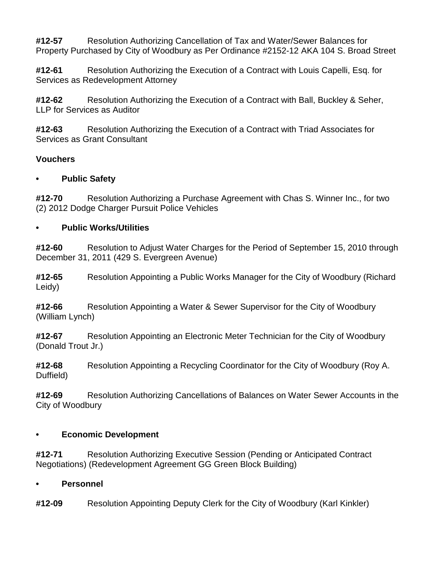**#12-57** Resolution Authorizing Cancellation of Tax and Water/Sewer Balances for Property Purchased by City of Woodbury as Per Ordinance #2152-12 AKA 104 S. Broad Street

**#12-61** Resolution Authorizing the Execution of a Contract with Louis Capelli, Esq. for Services as Redevelopment Attorney

**#12-62** Resolution Authorizing the Execution of a Contract with Ball, Buckley & Seher, LLP for Services as Auditor

**#12-63** Resolution Authorizing the Execution of a Contract with Triad Associates for Services as Grant Consultant

## **Vouchers**

## **• Public Safety**

**#12-70** Resolution Authorizing a Purchase Agreement with Chas S. Winner Inc., for two (2) 2012 Dodge Charger Pursuit Police Vehicles

## **• Public Works/Utilities**

**#12-60** Resolution to Adjust Water Charges for the Period of September 15, 2010 through December 31, 2011 (429 S. Evergreen Avenue)

**#12-65** Resolution Appointing a Public Works Manager for the City of Woodbury (Richard Leidy)

**#12-66** Resolution Appointing a Water & Sewer Supervisor for the City of Woodbury (William Lynch)

**#12-67** Resolution Appointing an Electronic Meter Technician for the City of Woodbury (Donald Trout Jr.)

**#12-68** Resolution Appointing a Recycling Coordinator for the City of Woodbury (Roy A. Duffield)

**#12-69** Resolution Authorizing Cancellations of Balances on Water Sewer Accounts in the City of Woodbury

## **• Economic Development**

**#12-71** Resolution Authorizing Executive Session (Pending or Anticipated Contract Negotiations) (Redevelopment Agreement GG Green Block Building)

## **• Personnel**

**#12-09** Resolution Appointing Deputy Clerk for the City of Woodbury (Karl Kinkler)